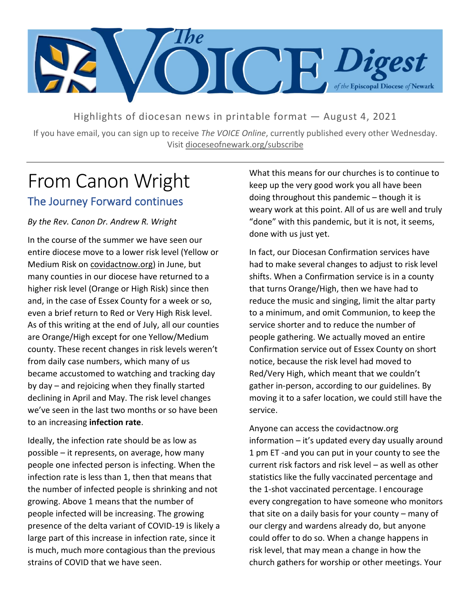

Highlights of diocesan news in printable format — August 4, 2021

If you have email, you can sign up to receive *The VOICE Online*, currently published every other Wednesday. Visit dioceseofnewark.org/subscribe

## From Canon Wright The Journey Forward continues

#### *By the Rev. Canon Dr. Andrew R. Wright*

In the course of the summer we have seen our entire diocese move to a lower risk level (Yellow or Medium Risk on covidactnow.org) in June, but many counties in our diocese have returned to a higher risk level (Orange or High Risk) since then and, in the case of Essex County for a week or so, even a brief return to Red or Very High Risk level. As of this writing at the end of July, all our counties are Orange/High except for one Yellow/Medium county. These recent changes in risk levels weren't from daily case numbers, which many of us became accustomed to watching and tracking day by day – and rejoicing when they finally started declining in April and May. The risk level changes we've seen in the last two months or so have been to an increasing **infection rate**.

Ideally, the infection rate should be as low as possible – it represents, on average, how many people one infected person is infecting. When the infection rate is less than 1, then that means that the number of infected people is shrinking and not growing. Above 1 means that the number of people infected will be increasing. The growing presence of the delta variant of COVID-19 is likely a large part of this increase in infection rate, since it is much, much more contagious than the previous strains of COVID that we have seen.

What this means for our churches is to continue to keep up the very good work you all have been doing throughout this pandemic – though it is weary work at this point. All of us are well and truly "done" with this pandemic, but it is not, it seems, done with us just yet.

In fact, our Diocesan Confirmation services have had to make several changes to adjust to risk level shifts. When a Confirmation service is in a county that turns Orange/High, then we have had to reduce the music and singing, limit the altar party to a minimum, and omit Communion, to keep the service shorter and to reduce the number of people gathering. We actually moved an entire Confirmation service out of Essex County on short notice, because the risk level had moved to Red/Very High, which meant that we couldn't gather in-person, according to our guidelines. By moving it to a safer location, we could still have the service.

Anyone can access the covidactnow.org information – it's updated every day usually around 1 pm ET -and you can put in your county to see the current risk factors and risk level – as well as other statistics like the fully vaccinated percentage and the 1-shot vaccinated percentage. I encourage every congregation to have someone who monitors that site on a daily basis for your county – many of our clergy and wardens already do, but anyone could offer to do so. When a change happens in risk level, that may mean a change in how the church gathers for worship or other meetings. Your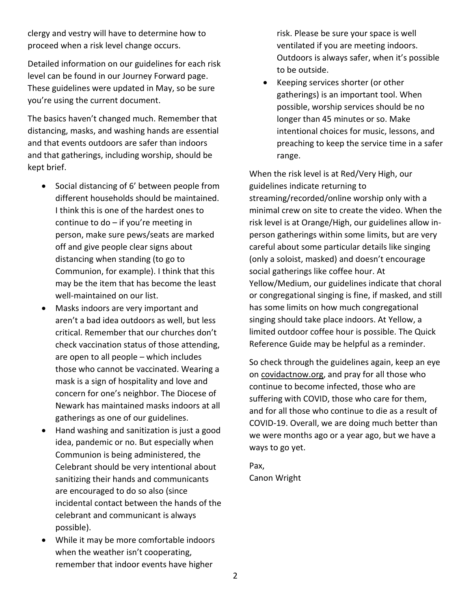clergy and vestry will have to determine how to proceed when a risk level change occurs.

Detailed information on our guidelines for each risk level can be found in our Journey Forward page. These guidelines were updated in May, so be sure you're using the current document.

The basics haven't changed much. Remember that distancing, masks, and washing hands are essential and that events outdoors are safer than indoors and that gatherings, including worship, should be kept brief.

- Social distancing of 6' between people from different households should be maintained. I think this is one of the hardest ones to continue to do – if you're meeting in person, make sure pews/seats are marked off and give people clear signs about distancing when standing (to go to Communion, for example). I think that this may be the item that has become the least well-maintained on our list.
- Masks indoors are very important and aren't a bad idea outdoors as well, but less critical. Remember that our churches don't check vaccination status of those attending, are open to all people – which includes those who cannot be vaccinated. Wearing a mask is a sign of hospitality and love and concern for one's neighbor. The Diocese of Newark has maintained masks indoors at all gatherings as one of our guidelines.
- Hand washing and sanitization is just a good idea, pandemic or no. But especially when Communion is being administered, the Celebrant should be very intentional about sanitizing their hands and communicants are encouraged to do so also (since incidental contact between the hands of the celebrant and communicant is always possible).
- While it may be more comfortable indoors when the weather isn't cooperating, remember that indoor events have higher

risk. Please be sure your space is well ventilated if you are meeting indoors. Outdoors is always safer, when it's possible to be outside.

• Keeping services shorter (or other gatherings) is an important tool. When possible, worship services should be no longer than 45 minutes or so. Make intentional choices for music, lessons, and preaching to keep the service time in a safer range.

When the risk level is at Red/Very High, our guidelines indicate returning to streaming/recorded/online worship only with a minimal crew on site to create the video. When the risk level is at Orange/High, our guidelines allow inperson gatherings within some limits, but are very careful about some particular details like singing (only a soloist, masked) and doesn't encourage social gatherings like coffee hour. At Yellow/Medium, our guidelines indicate that choral or congregational singing is fine, if masked, and still has some limits on how much congregational singing should take place indoors. At Yellow, a limited outdoor coffee hour is possible. The Quick Reference Guide may be helpful as a reminder.

So check through the guidelines again, keep an eye on covidactnow.org, and pray for all those who continue to become infected, those who are suffering with COVID, those who care for them, and for all those who continue to die as a result of COVID-19. Overall, we are doing much better than we were months ago or a year ago, but we have a ways to go yet.

Pax, Canon Wright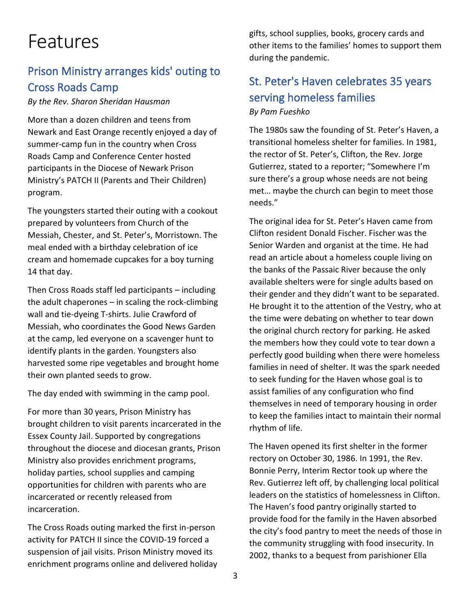# Features

### Prison Ministry arranges kids' outing to Cross Roads Camp

*By the Rev. Sharon Sheridan Hausman*

More than a dozen children and teens from Newark and East Orange recently enjoyed a day of summer-camp fun in the country when Cross Roads Camp and Conference Center hosted participants in the Diocese of Newark Prison Ministry's PATCH II (Parents and Their Children) program.

The youngsters started their outing with a cookout prepared by volunteers from Church of the Messiah, Chester, and St. Peter's, Morristown. The meal ended with a birthday celebration of ice cream and homemade cupcakes for a boy turning 14 that day.

Then Cross Roads staff led participants – including the adult chaperones – in scaling the rock-climbing wall and tie-dyeing T-shirts. Julie Crawford of Messiah, who coordinates the Good News Garden at the camp, led everyone on a scavenger hunt to identify plants in the garden. Youngsters also harvested some ripe vegetables and brought home their own planted seeds to grow.

The day ended with swimming in the camp pool.

For more than 30 years, Prison Ministry has brought children to visit parents incarcerated in the Essex County Jail. Supported by congregations throughout the diocese and diocesan grants, Prison Ministry also provides enrichment programs, holiday parties, school supplies and camping opportunities for children with parents who are incarcerated or recently released from incarceration.

The Cross Roads outing marked the first in-person activity for PATCH II since the COVID-19 forced a suspension of jail visits. Prison Ministry moved its enrichment programs online and delivered holiday gifts, school supplies, books, grocery cards and other items to the families' homes to support them during the pandemic.

### St. Peter's Haven celebrates 35 years serving homeless families *By Pam Fueshko*

The 1980s saw the founding of St. Peter's Haven, a transitional homeless shelter for families. In 1981, the rector of St. Peter's, Clifton, the Rev. Jorge Gutierrez, stated to a reporter; "Somewhere I'm sure there's a group whose needs are not being met… maybe the church can begin to meet those needs."

The original idea for St. Peter's Haven came from Clifton resident Donald Fischer. Fischer was the Senior Warden and organist at the time. He had read an article about a homeless couple living on the banks of the Passaic River because the only available shelters were for single adults based on their gender and they didn't want to be separated. He brought it to the attention of the Vestry, who at the time were debating on whether to tear down the original church rectory for parking. He asked the members how they could vote to tear down a perfectly good building when there were homeless families in need of shelter. It was the spark needed to seek funding for the Haven whose goal is to assist families of any configuration who find themselves in need of temporary housing in order to keep the families intact to maintain their normal rhythm of life.

The Haven opened its first shelter in the former rectory on October 30, 1986. In 1991, the Rev. Bonnie Perry, Interim Rector took up where the Rev. Gutierrez left off, by challenging local political leaders on the statistics of homelessness in Clifton. The Haven's food pantry originally started to provide food for the family in the Haven absorbed the city's food pantry to meet the needs of those in the community struggling with food insecurity. In 2002, thanks to a bequest from parishioner Ella